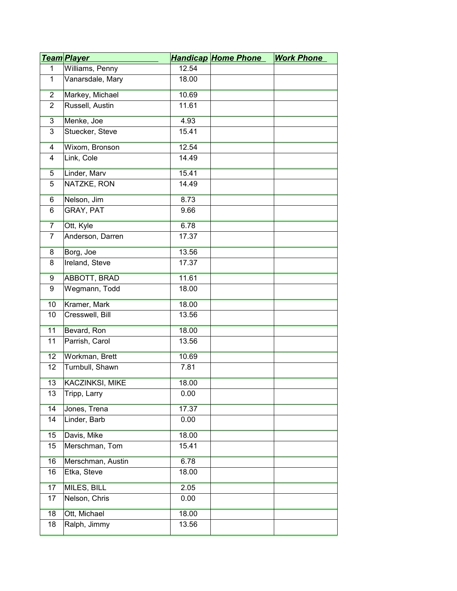|                | <u>Team Player</u>     |       | <b>Handicap Home Phone</b> | <b>Work Phone</b> |
|----------------|------------------------|-------|----------------------------|-------------------|
| $\mathbf{1}$   | Williams, Penny        | 12.54 |                            |                   |
| $\mathbf{1}$   | Vanarsdale, Mary       | 18.00 |                            |                   |
| $\overline{2}$ | Markey, Michael        | 10.69 |                            |                   |
| $\overline{2}$ | Russell, Austin        | 11.61 |                            |                   |
| $\overline{3}$ | Menke, Joe             | 4.93  |                            |                   |
| 3              | Stuecker, Steve        | 15.41 |                            |                   |
| 4              | Wixom, Bronson         | 12.54 |                            |                   |
| $\overline{4}$ | Link, Cole             | 14.49 |                            |                   |
| $\overline{5}$ | Linder, Marv           | 15.41 |                            |                   |
| 5              | NATZKE, RON            | 14.49 |                            |                   |
| 6              | Nelson, Jim            | 8.73  |                            |                   |
| 6              | GRAY, PAT              | 9.66  |                            |                   |
| $\overline{7}$ | Ott, Kyle              | 6.78  |                            |                   |
| $\overline{7}$ | Anderson, Darren       | 17.37 |                            |                   |
| 8              | Borg, Joe              | 13.56 |                            |                   |
| 8              | Ireland, Steve         | 17.37 |                            |                   |
| 9              | <b>ABBOTT, BRAD</b>    | 11.61 |                            |                   |
| 9              | Wegmann, Todd          | 18.00 |                            |                   |
| 10             | Kramer, Mark           | 18.00 |                            |                   |
| 10             | Cresswell, Bill        | 13.56 |                            |                   |
| 11             | Bevard, Ron            | 18.00 |                            |                   |
| 11             | Parrish, Carol         | 13.56 |                            |                   |
| 12             | Workman, Brett         | 10.69 |                            |                   |
| 12             | Turnbull, Shawn        | 7.81  |                            |                   |
| 13             | <b>KACZINKSI, MIKE</b> | 18.00 |                            |                   |
| 13             | Tripp, Larry           | 0.00  |                            |                   |
| 14             | Jones, Trena           | 17.37 |                            |                   |
| 14             | Linder, Barb           | 0.00  |                            |                   |
| 15             | Davis, Mike            | 18.00 |                            |                   |
| 15             | Merschman, Tom         | 15.41 |                            |                   |
| 16             | Merschman, Austin      | 6.78  |                            |                   |
| 16             | Etka, Steve            | 18.00 |                            |                   |
| 17             | MILES, BILL            | 2.05  |                            |                   |
| 17             | Nelson, Chris          | 0.00  |                            |                   |
| 18             | Ott, Michael           | 18.00 |                            |                   |
| 18             | Ralph, Jimmy           | 13.56 |                            |                   |